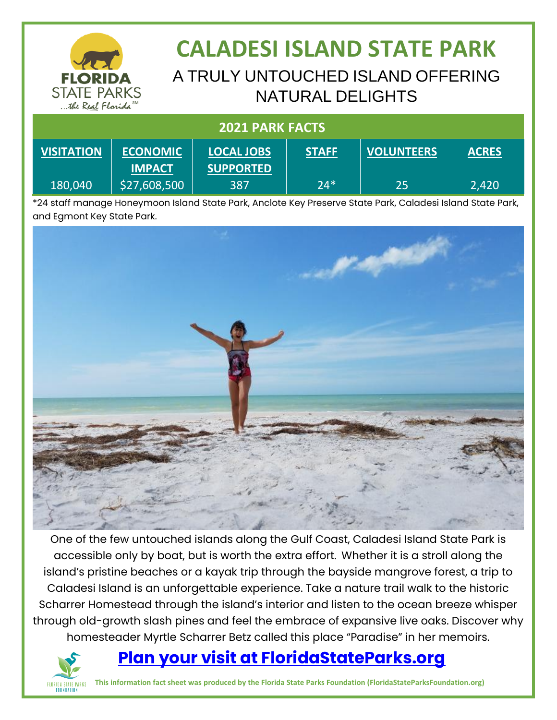

### **CALADESI ISLAND STATE PARK** A TRULY UNTOUCHED ISLAND OFFERING NATURAL DELIGHTS

| <b>2021 PARK FACTS</b> |                                  |                                       |              |                   |              |
|------------------------|----------------------------------|---------------------------------------|--------------|-------------------|--------------|
| <b>VISITATION</b>      | <b>ECONOMIC</b><br><b>IMPACT</b> | <b>LOCAL JOBS</b><br><b>SUPPORTED</b> | <b>STAFF</b> | <b>VOLUNTEERS</b> | <b>ACRES</b> |
| 180,040                | \$27,608,500                     | 387                                   | $24*$        | 25                | 2,420        |

\*24 staff manage Honeymoon Island State Park, Anclote Key Preserve State Park, Caladesi Island State Park, and Egmont Key State Park.



One of the few untouched islands along the Gulf Coast, Caladesi Island State Park is accessible only by boat, but is worth the extra effort. Whether it is a stroll along the island's pristine beaches or a kayak trip through the bayside mangrove forest, a trip to Caladesi Island is an unforgettable experience. Take a nature trail walk to the historic Scharrer Homestead through the island's interior and listen to the ocean breeze whisper through old-growth slash pines and feel the embrace of expansive live oaks. Discover why homesteader Myrtle Scharrer Betz called this place "Paradise" in her memoirs.

#### **[Plan your visit at FloridaStateParks.org](http://www.floridastateparks.org/)**



**This information fact sheet was produced by the Florida State Parks Foundation (FloridaStateParksFoundation.org)**